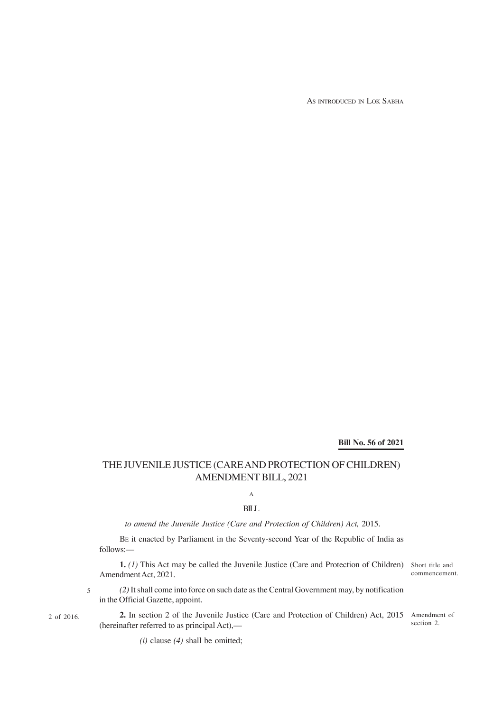AS INTRODUCED IN LOK SABHA

# **Bill No. 56 of 2021**

## THE JUVENILE JUSTICE (CARE AND PROTECTION OF CHILDREN) AMENDMENT BILL, 2021

A

### BILL

### *to amend the Juvenile Justice (Care and Protection of Children) Act,* 2015.

BE it enacted by Parliament in the Seventy-second Year of the Republic of India as follows:—

**1.** (1) This Act may be called the Juvenile Justice (Care and Protection of Children) Short title and Amendment Act, 2021.

commencement.

*(2)* It shall come into force on such date as the Central Government may, by notification in the Official Gazette, appoint. 5

2 of 2016.

2. In section 2 of the Juvenile Justice (Care and Protection of Children) Act, 2015 Amendment of (hereinafter referred to as principal Act), section 2.

*(i)* clause *(4)* shall be omitted;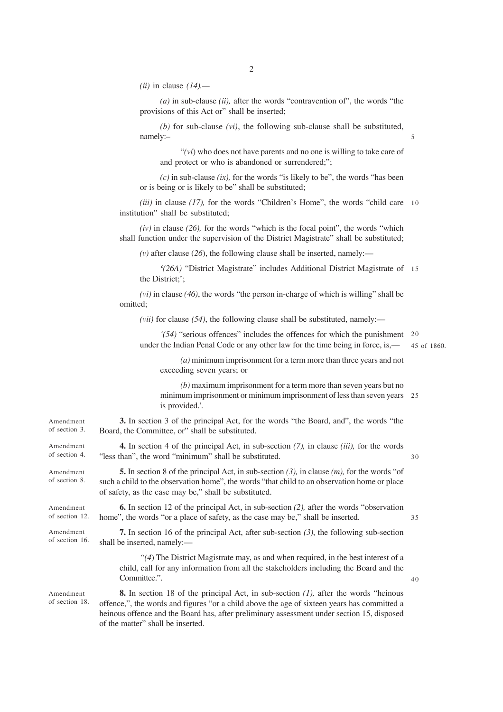*(ii)* in clause *(14),—*

*(a)* in sub-clause *(ii),* after the words "contravention of", the words "the provisions of this Act or" shall be inserted;

*(b)* for sub-clause *(vi)*, the following sub-clause shall be substituted, namely:–

"*(vi*) who does not have parents and no one is willing to take care of and protect or who is abandoned or surrendered;";

*(c)* in sub-clause *(ix),* for the words "is likely to be", the words "has been or is being or is likely to be" shall be substituted;

*(iii)* in clause *(17),* for the words "Children's Home", the words "child care 10 institution" shall be substituted;

*(iv)* in clause *(26),* for the words "which is the focal point", the words "which shall function under the supervision of the District Magistrate" shall be substituted;

*(v)* after clause (*26*), the following clause shall be inserted, namely:—

*'(26A)* "District Magistrate" includes Additional District Magistrate of 15 the District;';

*(vi)* in clause *(46)*, the words "the person in-charge of which is willing" shall be omitted;

*(vii)* for clause *(54)*, the following clause shall be substituted, namely:—

*'(54)* "serious offences" includes the offences for which the punishment 20 under the Indian Penal Code or any other law for the time being in force, is,—

45 of 1860.

5

*(a)* minimum imprisonment for a term more than three years and not exceeding seven years; or

*(b)* maximum imprisonment for a term more than seven years but no minimum imprisonment or minimum imprisonment of less than seven years 25 is provided.'.

**3.** In section 3 of the principal Act, for the words "the Board, and", the words "the Board, the Committee, or" shall be substituted. Amendment of section 3.

**4.** In section 4 of the principal Act, in sub-section *(7),* in clause *(iii),* for the words "less than", the word "minimum" shall be substituted.

**5.** In section 8 of the principal Act, in sub-section *(3),* in clause *(m),* for the words "of such a child to the observation home", the words "that child to an observation home or place of safety, as the case may be," shall be substituted.

**6.** In section 12 of the principal Act, in sub-section *(2),* after the words "observation home", the words "or a place of safety, as the case may be," shall be inserted.

**7.** In section 16 of the principal Act, after sub-section *(3)*, the following sub-section shall be inserted, namely:—

*"(4*) The District Magistrate may, as and when required, in the best interest of a child, call for any information from all the stakeholders including the Board and the Committee.".

**8.** In section 18 of the principal Act, in sub-section *(1),* after the words "heinous offence,", the words and figures "or a child above the age of sixteen years has committed a heinous offence and the Board has, after preliminary assessment under section 15, disposed of the matter" shall be inserted.

Amendment of section 4.

Amendment of section 8.

Amendment of section 12.

Amendment of section 16.

Amendment of section 18. 40

35

30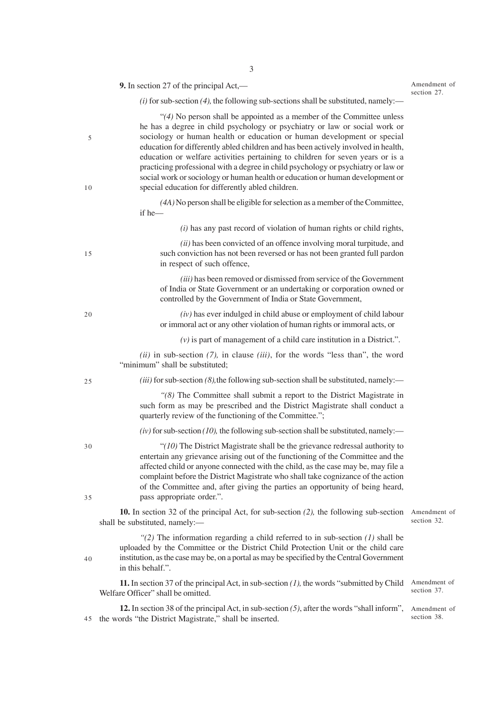|          | <b>9.</b> In section 27 of the principal $Act$ ,—                                                                                                                                                                                                                                                                                                                                                                                                                                                                                                                                                                                   | Amendment of<br>section 27. |
|----------|-------------------------------------------------------------------------------------------------------------------------------------------------------------------------------------------------------------------------------------------------------------------------------------------------------------------------------------------------------------------------------------------------------------------------------------------------------------------------------------------------------------------------------------------------------------------------------------------------------------------------------------|-----------------------------|
|          | $(i)$ for sub-section (4), the following sub-sections shall be substituted, namely:—                                                                                                                                                                                                                                                                                                                                                                                                                                                                                                                                                |                             |
| 5<br>10  | " $(4)$ No person shall be appointed as a member of the Committee unless<br>he has a degree in child psychology or psychiatry or law or social work or<br>sociology or human health or education or human development or special<br>education for differently abled children and has been actively involved in health,<br>education or welfare activities pertaining to children for seven years or is a<br>practicing professional with a degree in child psychology or psychiatry or law or<br>social work or sociology or human health or education or human development or<br>special education for differently abled children. |                             |
|          | (4A) No person shall be eligible for selection as a member of the Committee,<br>if he-                                                                                                                                                                                                                                                                                                                                                                                                                                                                                                                                              |                             |
|          | $(i)$ has any past record of violation of human rights or child rights,                                                                                                                                                                                                                                                                                                                                                                                                                                                                                                                                                             |                             |
| 15       | (ii) has been convicted of an offence involving moral turpitude, and<br>such conviction has not been reversed or has not been granted full pardon<br>in respect of such offence,                                                                                                                                                                                                                                                                                                                                                                                                                                                    |                             |
|          | (iii) has been removed or dismissed from service of the Government<br>of India or State Government or an undertaking or corporation owned or<br>controlled by the Government of India or State Government,                                                                                                                                                                                                                                                                                                                                                                                                                          |                             |
| 20       | $(iv)$ has ever indulged in child abuse or employment of child labour<br>or immoral act or any other violation of human rights or immoral acts, or                                                                                                                                                                                                                                                                                                                                                                                                                                                                                  |                             |
|          | $(v)$ is part of management of a child care institution in a District.".                                                                                                                                                                                                                                                                                                                                                                                                                                                                                                                                                            |                             |
|          | $(ii)$ in sub-section $(7)$ , in clause $(iii)$ , for the words "less than", the word<br>"minimum" shall be substituted;                                                                                                                                                                                                                                                                                                                                                                                                                                                                                                            |                             |
| 25       | $(iii)$ for sub-section (8), the following sub-section shall be substituted, namely:—                                                                                                                                                                                                                                                                                                                                                                                                                                                                                                                                               |                             |
|          | "(8) The Committee shall submit a report to the District Magistrate in<br>such form as may be prescribed and the District Magistrate shall conduct a<br>quarterly review of the functioning of the Committee.";                                                                                                                                                                                                                                                                                                                                                                                                                     |                             |
|          | $(iv)$ for sub-section (10), the following sub-section shall be substituted, namely:—                                                                                                                                                                                                                                                                                                                                                                                                                                                                                                                                               |                             |
| 30<br>35 | "( $10$ ) The District Magistrate shall be the grievance redressal authority to<br>entertain any grievance arising out of the functioning of the Committee and the<br>affected child or anyone connected with the child, as the case may be, may file a<br>complaint before the District Magistrate who shall take cognizance of the action<br>of the Committee and, after giving the parties an opportunity of being heard,<br>pass appropriate order.".                                                                                                                                                                           |                             |
|          | <b>10.</b> In section 32 of the principal Act, for sub-section $(2)$ , the following sub-section<br>shall be substituted, namely:-                                                                                                                                                                                                                                                                                                                                                                                                                                                                                                  | Amendment of<br>section 32. |
| 40       | "(2) The information regarding a child referred to in sub-section $(1)$ shall be<br>uploaded by the Committee or the District Child Protection Unit or the child care<br>institution, as the case may be, on a portal as may be specified by the Central Government<br>in this behalf.".                                                                                                                                                                                                                                                                                                                                            |                             |
|          | <b>11.</b> In section 37 of the principal Act, in sub-section $(1)$ , the words "submitted by Child"<br>Welfare Officer" shall be omitted.                                                                                                                                                                                                                                                                                                                                                                                                                                                                                          | Amendment of<br>section 37. |

**12.** In section 38 of the principal Act, in sub-section *(5)*, after the words "shall inform", Amendment of 45 the words "the District Magistrate," shall be inserted.

section 38.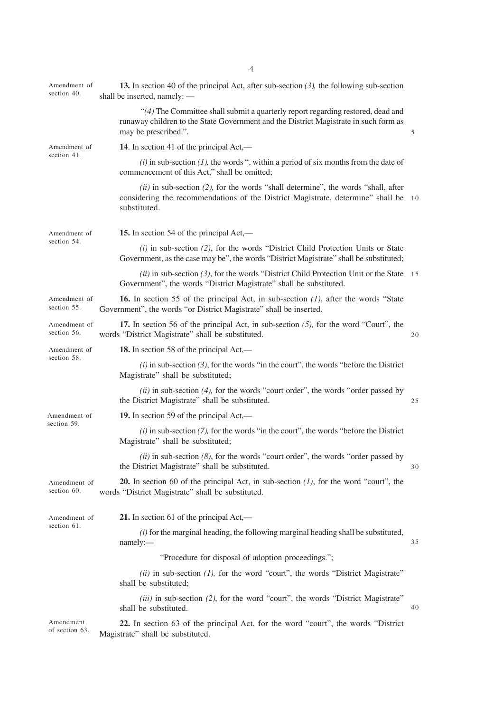| Amendment of<br>section 40. | <b>13.</b> In section 40 of the principal Act, after sub-section $(3)$ , the following sub-section<br>shall be inserted, namely: -                                                              |    |  |  |  |  |  |
|-----------------------------|-------------------------------------------------------------------------------------------------------------------------------------------------------------------------------------------------|----|--|--|--|--|--|
|                             | "(4) The Committee shall submit a quarterly report regarding restored, dead and<br>runaway children to the State Government and the District Magistrate in such form as<br>may be prescribed.". | 5  |  |  |  |  |  |
| Amendment of                | 14. In section 41 of the principal Act,—                                                                                                                                                        |    |  |  |  |  |  |
| section 41.                 | $(i)$ in sub-section $(1)$ , the words ", within a period of six months from the date of<br>commencement of this Act," shall be omitted;                                                        |    |  |  |  |  |  |
|                             | $(ii)$ in sub-section (2), for the words "shall determine", the words "shall, after<br>considering the recommendations of the District Magistrate, determine" shall be 10<br>substituted.       |    |  |  |  |  |  |
| Amendment of<br>section 54. | 15. In section 54 of the principal Act,—                                                                                                                                                        |    |  |  |  |  |  |
|                             | $(i)$ in sub-section (2), for the words "District Child Protection Units or State<br>Government, as the case may be", the words "District Magistrate" shall be substituted;                     |    |  |  |  |  |  |
|                             | $(ii)$ in sub-section (3), for the words "District Child Protection Unit or the State 15<br>Government", the words "District Magistrate" shall be substituted.                                  |    |  |  |  |  |  |
| Amendment of<br>section 55. | <b>16.</b> In section 55 of the principal Act, in sub-section $(l)$ , after the words "State"<br>Government", the words "or District Magistrate" shall be inserted.                             |    |  |  |  |  |  |
| Amendment of<br>section 56. | 17. In section 56 of the principal Act, in sub-section $(5)$ , for the word "Court", the<br>words "District Magistrate" shall be substituted.                                                   | 20 |  |  |  |  |  |
| Amendment of                | <b>18.</b> In section 58 of the principal Act,—                                                                                                                                                 |    |  |  |  |  |  |
| section 58.                 | $(i)$ in sub-section (3), for the words "in the court", the words "before the District<br>Magistrate" shall be substituted;                                                                     |    |  |  |  |  |  |
|                             | $(ii)$ in sub-section (4), for the words "court order", the words "order passed by<br>the District Magistrate" shall be substituted.                                                            | 25 |  |  |  |  |  |
| Amendment of                | 19. In section 59 of the principal Act,—                                                                                                                                                        |    |  |  |  |  |  |
| section 59.                 | $(i)$ in sub-section $(7)$ , for the words "in the court", the words "before the District<br>Magistrate" shall be substituted;                                                                  |    |  |  |  |  |  |
|                             | $(ii)$ in sub-section $(8)$ , for the words "court order", the words "order passed by<br>the District Magistrate" shall be substituted.                                                         | 30 |  |  |  |  |  |
| Amendment of<br>section 60. | <b>20.</b> In section 60 of the principal Act, in sub-section $(l)$ , for the word "court", the<br>words "District Magistrate" shall be substituted.                                            |    |  |  |  |  |  |
| Amendment of<br>section 61. | 21. In section 61 of the principal $Act$ ,—                                                                                                                                                     |    |  |  |  |  |  |
|                             | $(i)$ for the marginal heading, the following marginal heading shall be substituted,<br>namely:-                                                                                                | 35 |  |  |  |  |  |
|                             | "Procedure for disposal of adoption proceedings.";                                                                                                                                              |    |  |  |  |  |  |
|                             | $(ii)$ in sub-section $(I)$ , for the word "court", the words "District Magistrate"<br>shall be substituted;                                                                                    |    |  |  |  |  |  |
|                             | (iii) in sub-section (2), for the word "court", the words "District Magistrate"<br>shall be substituted.                                                                                        | 40 |  |  |  |  |  |
| Amendment<br>of section 63. | 22. In section 63 of the principal Act, for the word "court", the words "District"<br>Magistrate" shall be substituted.                                                                         |    |  |  |  |  |  |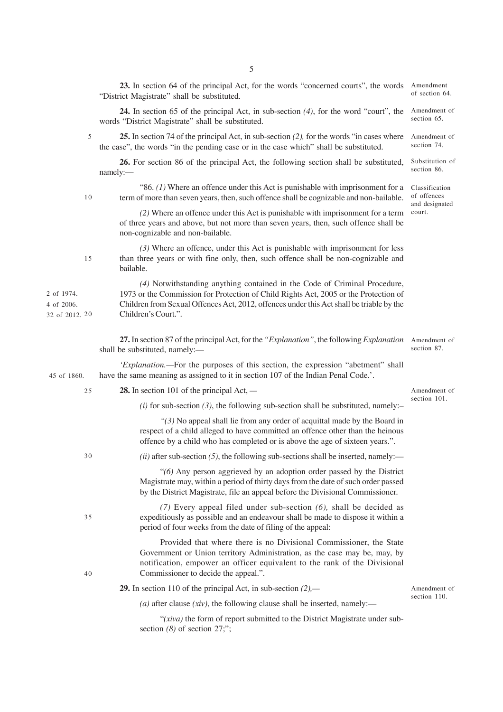|                                            | 23. In section 64 of the principal Act, for the words "concerned courts", the words<br>"District Magistrate" shall be substituted.                                                                                                                                                   | Amendment<br>of section 64.                     |  |  |
|--------------------------------------------|--------------------------------------------------------------------------------------------------------------------------------------------------------------------------------------------------------------------------------------------------------------------------------------|-------------------------------------------------|--|--|
|                                            | <b>24.</b> In section 65 of the principal Act, in sub-section $(4)$ , for the word "court", the<br>words "District Magistrate" shall be substituted.                                                                                                                                 | Amendment of<br>section 65.                     |  |  |
| 5                                          | 25. In section 74 of the principal Act, in sub-section (2), for the words "in cases where<br>the case", the words "in the pending case or in the case which" shall be substituted.                                                                                                   | Amendment of<br>section 74.                     |  |  |
|                                            | 26. For section 86 of the principal Act, the following section shall be substituted,<br>namely:                                                                                                                                                                                      | Substitution of<br>section 86.                  |  |  |
| 10                                         | "86. $(1)$ Where an offence under this Act is punishable with imprisonment for a<br>term of more than seven years, then, such offence shall be cognizable and non-bailable.                                                                                                          | Classification<br>of offences<br>and designated |  |  |
|                                            | (2) Where an offence under this Act is punishable with imprisonment for a term<br>of three years and above, but not more than seven years, then, such offence shall be<br>non-cognizable and non-bailable.                                                                           |                                                 |  |  |
| 15                                         | $(3)$ Where an offence, under this Act is punishable with imprisonment for less<br>than three years or with fine only, then, such offence shall be non-cognizable and<br>bailable.                                                                                                   |                                                 |  |  |
| 2 of 1974.<br>4 of 2006.<br>32 of 2012. 20 | (4) Notwithstanding anything contained in the Code of Criminal Procedure,<br>1973 or the Commission for Protection of Child Rights Act, 2005 or the Protection of<br>Children from Sexual Offences Act, 2012, offences under this Act shall be triable by the<br>Children's Court.". |                                                 |  |  |
|                                            | 27. In section 87 of the principal Act, for the "Explanation", the following Explanation<br>shall be substituted, namely:-                                                                                                                                                           | Amendment of<br>section 87.                     |  |  |
| 45 of 1860.                                | 'Explanation.—For the purposes of this section, the expression "abetment" shall<br>have the same meaning as assigned to it in section 107 of the Indian Penal Code.'.                                                                                                                |                                                 |  |  |
| 25                                         | <b>28.</b> In section 101 of the principal $Act$ , —                                                                                                                                                                                                                                 |                                                 |  |  |
|                                            | (i) for sub-section (3), the following sub-section shall be substituted, namely:-                                                                                                                                                                                                    | section 101.                                    |  |  |
|                                            | " $(3)$ No appeal shall lie from any order of acquittal made by the Board in<br>respect of a child alleged to have committed an offence other than the heinous<br>offence by a child who has completed or is above the age of sixteen years.".                                       |                                                 |  |  |
| 30                                         | $(ii)$ after sub-section (5), the following sub-sections shall be inserted, namely:—                                                                                                                                                                                                 |                                                 |  |  |
|                                            | "(6) Any person aggrieved by an adoption order passed by the District<br>Magistrate may, within a period of thirty days from the date of such order passed<br>by the District Magistrate, file an appeal before the Divisional Commissioner.                                         |                                                 |  |  |
| 35                                         | $(7)$ Every appeal filed under sub-section $(6)$ , shall be decided as<br>expeditiously as possible and an endeavour shall be made to dispose it within a<br>period of four weeks from the date of filing of the appeal:                                                             |                                                 |  |  |
| 40                                         | Provided that where there is no Divisional Commissioner, the State<br>Government or Union territory Administration, as the case may be, may, by<br>notification, empower an officer equivalent to the rank of the Divisional<br>Commissioner to decide the appeal.".                 |                                                 |  |  |
|                                            | <b>29.</b> In section 110 of the principal Act, in sub-section $(2)$ ,—                                                                                                                                                                                                              | Amendment of                                    |  |  |
|                                            | ( <i>a</i> ) after clause ( <i>xiv</i> ), the following clause shall be inserted, namely:—                                                                                                                                                                                           | section 110.                                    |  |  |
|                                            | "(xiva) the form of report submitted to the District Magistrate under sub-<br>section $(8)$ of section 27;";                                                                                                                                                                         |                                                 |  |  |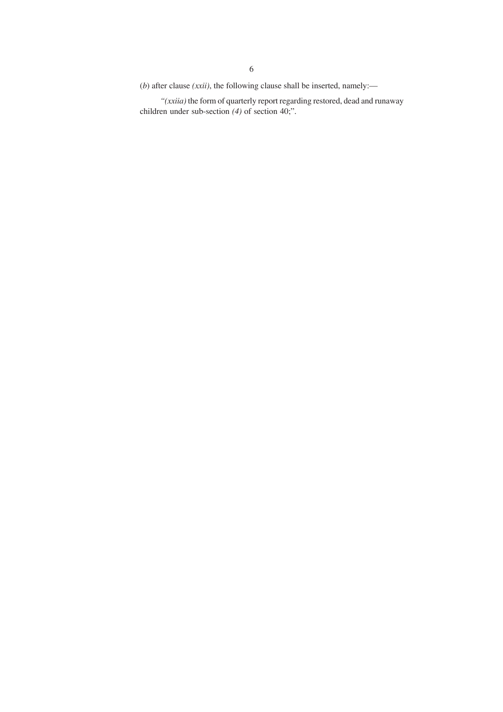(*b*) after clause *(xxii)*, the following clause shall be inserted, namely:—

*"(xxiia)* the form of quarterly report regarding restored, dead and runaway children under sub-section *(4)* of section 40;".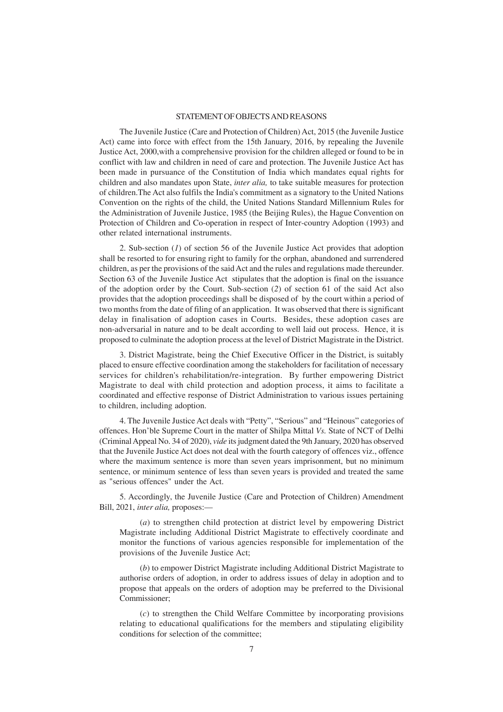### STATEMENT OF OBJECTS AND REASONS

The Juvenile Justice (Care and Protection of Children) Act, 2015 (the Juvenile Justice Act) came into force with effect from the 15th January, 2016, by repealing the Juvenile Justice Act, 2000,with a comprehensive provision for the children alleged or found to be in conflict with law and children in need of care and protection. The Juvenile Justice Act has been made in pursuance of the Constitution of India which mandates equal rights for children and also mandates upon State, *inter alia,* to take suitable measures for protection of children.The Act also fulfils the India's commitment as a signatory to the United Nations Convention on the rights of the child, the United Nations Standard Millennium Rules for the Administration of Juvenile Justice, 1985 (the Beijing Rules), the Hague Convention on Protection of Children and Co-operation in respect of Inter-country Adoption (1993) and other related international instruments.

2. Sub-section (*1*) of section 56 of the Juvenile Justice Act provides that adoption shall be resorted to for ensuring right to family for the orphan, abandoned and surrendered children, as per the provisions of the said Act and the rules and regulations made thereunder. Section 63 of the Juvenile Justice Act stipulates that the adoption is final on the issuance of the adoption order by the Court. Sub-section (*2*) of section 61 of the said Act also provides that the adoption proceedings shall be disposed of by the court within a period of two months from the date of filing of an application. It was observed that there is significant delay in finalisation of adoption cases in Courts. Besides, these adoption cases are non-adversarial in nature and to be dealt according to well laid out process. Hence, it is proposed to culminate the adoption process at the level of District Magistrate in the District.

3. District Magistrate, being the Chief Executive Officer in the District, is suitably placed to ensure effective coordination among the stakeholders for facilitation of necessary services for children's rehabilitation/re-integration. By further empowering District Magistrate to deal with child protection and adoption process, it aims to facilitate a coordinated and effective response of District Administration to various issues pertaining to children, including adoption.

4. The Juvenile Justice Act deals with "Petty", "Serious" and "Heinous" categories of offences. Hon'ble Supreme Court in the matter of Shilpa Mittal *Vs.* State of NCT of Delhi (Criminal Appeal No. 34 of 2020), *vide* its judgment dated the 9th January, 2020 has observed that the Juvenile Justice Act does not deal with the fourth category of offences viz., offence where the maximum sentence is more than seven years imprisonment, but no minimum sentence, or minimum sentence of less than seven years is provided and treated the same as "serious offences" under the Act.

5. Accordingly, the Juvenile Justice (Care and Protection of Children) Amendment Bill, 2021, *inter alia,* proposes:—

(*a*) to strengthen child protection at district level by empowering District Magistrate including Additional District Magistrate to effectively coordinate and monitor the functions of various agencies responsible for implementation of the provisions of the Juvenile Justice Act;

(*b*) to empower District Magistrate including Additional District Magistrate to authorise orders of adoption, in order to address issues of delay in adoption and to propose that appeals on the orders of adoption may be preferred to the Divisional Commissioner;

(*c*) to strengthen the Child Welfare Committee by incorporating provisions relating to educational qualifications for the members and stipulating eligibility conditions for selection of the committee;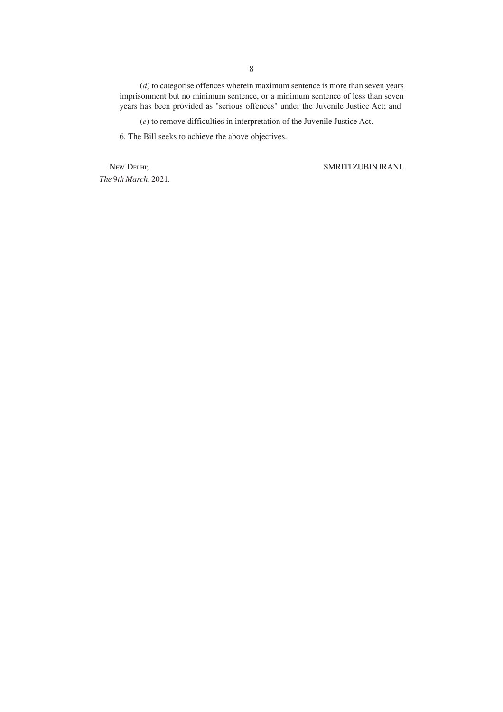(*d*) to categorise offences wherein maximum sentence is more than seven years imprisonment but no minimum sentence, or a minimum sentence of less than seven years has been provided as "serious offences" under the Juvenile Justice Act; and

(*e*) to remove difficulties in interpretation of the Juvenile Justice Act.

6. The Bill seeks to achieve the above objectives.

*The* 9*th March*, 2021*.*

NEW DELHI; SMRITI ZUBIN IRANI.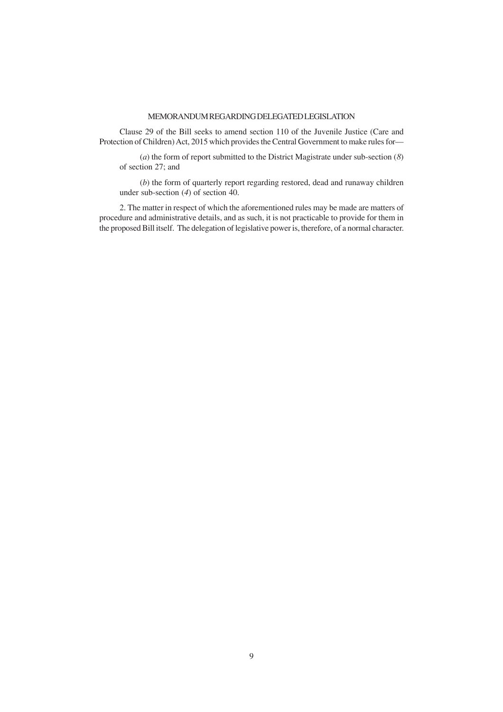## MEMORANDUM REGARDING DELEGATED LEGISLATION

Clause 29 of the Bill seeks to amend section 110 of the Juvenile Justice (Care and Protection of Children) Act, 2015 which provides the Central Government to make rules for—

(*a*) the form of report submitted to the District Magistrate under sub-section (*8*) of section 27; and

(*b*) the form of quarterly report regarding restored, dead and runaway children under sub-section (*4*) of section 40.

2. The matter in respect of which the aforementioned rules may be made are matters of procedure and administrative details, and as such, it is not practicable to provide for them in the proposed Bill itself. The delegation of legislative power is, therefore, of a normal character.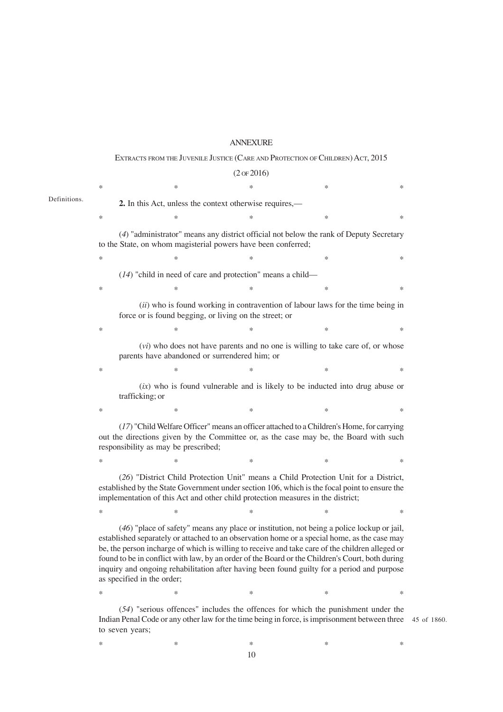### ANNEXURE

### EXTRACTS FROM THE JUVENILE JUSTICE (CARE AND PROTECTION OF CHILDREN) ACT, 2015

Definitions.

(2 OF 2016)  $*$  \*  $*$  \*  $*$  \*  $*$  \* **2.** In this Act, unless the context otherwise requires,—  $*$  \*  $*$  \*  $*$  \*  $*$  \* (*4*) "administrator" means any district official not below the rank of Deputy Secretary to the State, on whom magisterial powers have been conferred;  $*$  \*  $*$  \*  $*$  \*  $*$  \* (*14*) "child in need of care and protection" means a child—  $*$  \*  $*$  \*  $*$  \*  $*$  \* (*ii*) who is found working in contravention of labour laws for the time being in force or is found begging, or living on the street; or  $*$  \*  $*$  \*  $*$  \*  $*$  \* (*vi*) who does not have parents and no one is willing to take care of, or whose parents have abandoned or surrendered him; or  $*$   $*$   $*$   $*$   $*$   $*$ (*ix*) who is found vulnerable and is likely to be inducted into drug abuse or trafficking; or  $*$   $*$   $*$   $*$   $*$   $*$ (*17*) "Child Welfare Officer" means an officer attached to a Children's Home, for carrying out the directions given by the Committee or, as the case may be, the Board with such responsibility as may be prescribed;  $*$  \*  $*$  \*  $*$  \*  $*$  \* (*26*) "District Child Protection Unit" means a Child Protection Unit for a District, established by the State Government under section 106, which is the focal point to ensure the implementation of this Act and other child protection measures in the district;  $*$  \*  $*$  \*  $*$  \*  $*$  \* (*46*) "place of safety" means any place or institution, not being a police lockup or jail, established separately or attached to an observation home or a special home, as the case may be, the person incharge of which is willing to receive and take care of the children alleged or found to be in conflict with law, by an order of the Board or the Children's Court, both during inquiry and ongoing rehabilitation after having been found guilty for a period and purpose as specified in the order;  $*$  \*  $*$  \*  $*$  \*  $*$  \*

(*54*) "serious offences" includes the offences for which the punishment under the Indian Penal Code or any other law for the time being in force, is imprisonment between three 45 of 1860. to seven years;

 $*$  \*  $*$  \*  $*$  \*  $*$  \* 10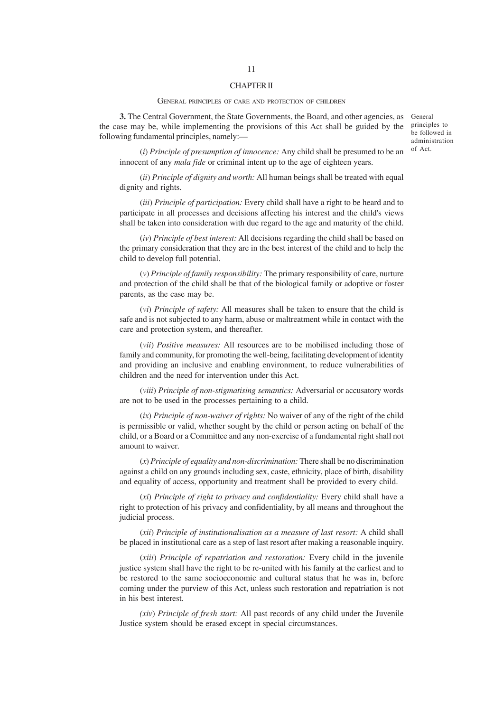### CHAPTER II

#### GENERAL PRINCIPLES OF CARE AND PROTECTION OF CHILDREN

**3.** The Central Government, the State Governments, the Board, and other agencies, as General the case may be, while implementing the provisions of this Act shall be guided by the following fundamental principles, namely:—

principles to be followed in administration of Act.

(*i*) *Principle of presumption of innocence:* Any child shall be presumed to be an innocent of any *mala fide* or criminal intent up to the age of eighteen years.

(*ii*) *Principle of dignity and worth:* All human beings shall be treated with equal dignity and rights.

(*iii*) *Principle of participation:* Every child shall have a right to be heard and to participate in all processes and decisions affecting his interest and the child's views shall be taken into consideration with due regard to the age and maturity of the child.

(*iv*) *Principle of best interest:* All decisions regarding the child shall be based on the primary consideration that they are in the best interest of the child and to help the child to develop full potential.

(*v*) *Principle of family responsibility:* The primary responsibility of care, nurture and protection of the child shall be that of the biological family or adoptive or foster parents, as the case may be.

(*vi*) *Principle of safety:* All measures shall be taken to ensure that the child is safe and is not subjected to any harm, abuse or maltreatment while in contact with the care and protection system, and thereafter.

(*vii*) *Positive measures:* All resources are to be mobilised including those of family and community, for promoting the well-being, facilitating development of identity and providing an inclusive and enabling environment, to reduce vulnerabilities of children and the need for intervention under this Act.

(*viii*) *Principle of non-stigmatising semantics:* Adversarial or accusatory words are not to be used in the processes pertaining to a child.

(*ix*) *Principle of non-waiver of rights:* No waiver of any of the right of the child is permissible or valid, whether sought by the child or person acting on behalf of the child, or a Board or a Committee and any non-exercise of a fundamental right shall not amount to waiver.

(*x*) *Principle of equality and non-discrimination:* There shall be no discrimination against a child on any grounds including sex, caste, ethnicity, place of birth, disability and equality of access, opportunity and treatment shall be provided to every child.

(*xi*) *Principle of right to privacy and confidentiality:* Every child shall have a right to protection of his privacy and confidentiality, by all means and throughout the judicial process.

(*xii*) *Principle of institutionalisation as a measure of last resort:* A child shall be placed in institutional care as a step of last resort after making a reasonable inquiry.

(*xiii*) *Principle of repatriation and restoration:* Every child in the juvenile justice system shall have the right to be re-united with his family at the earliest and to be restored to the same socioeconomic and cultural status that he was in, before coming under the purview of this Act, unless such restoration and repatriation is not in his best interest.

*(xiv*) *Principle of fresh start:* All past records of any child under the Juvenile Justice system should be erased except in special circumstances.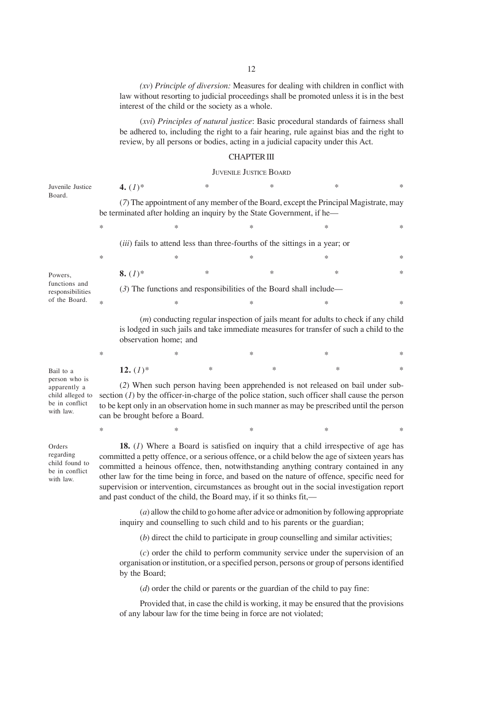*(xv*) *Principle of diversion:* Measures for dealing with children in conflict with law without resorting to judicial proceedings shall be promoted unless it is in the best interest of the child or the society as a whole.

(*xvi*) *Principles of natural justice*: Basic procedural standards of fairness shall be adhered to, including the right to a fair hearing, rule against bias and the right to review, by all persons or bodies, acting in a judicial capacity under this Act.

### CHAPTER III

### JUVENILE JUSTICE BOARD

| Juvenile Justice                                                                 | 4. $(I)^*$                                                                                                                                                                                                                                                                                                            |                                                                                                                                                                                                         | * |        | $\ast$ | $\ast$                                                                                                                                                                                                                                                                                                                                                                                                                                                                               | * |  |  |
|----------------------------------------------------------------------------------|-----------------------------------------------------------------------------------------------------------------------------------------------------------------------------------------------------------------------------------------------------------------------------------------------------------------------|---------------------------------------------------------------------------------------------------------------------------------------------------------------------------------------------------------|---|--------|--------|--------------------------------------------------------------------------------------------------------------------------------------------------------------------------------------------------------------------------------------------------------------------------------------------------------------------------------------------------------------------------------------------------------------------------------------------------------------------------------------|---|--|--|
| Board.                                                                           |                                                                                                                                                                                                                                                                                                                       | be terminated after holding an inquiry by the State Government, if he—                                                                                                                                  |   |        |        | (7) The appointment of any member of the Board, except the Principal Magistrate, may                                                                                                                                                                                                                                                                                                                                                                                                 |   |  |  |
|                                                                                  | $\ast$                                                                                                                                                                                                                                                                                                                | ∗                                                                                                                                                                                                       |   | ∗      |        | *                                                                                                                                                                                                                                                                                                                                                                                                                                                                                    | * |  |  |
|                                                                                  | <i>(iii)</i> fails to attend less than three-fourths of the sittings in a year; or                                                                                                                                                                                                                                    |                                                                                                                                                                                                         |   |        |        |                                                                                                                                                                                                                                                                                                                                                                                                                                                                                      |   |  |  |
|                                                                                  | ∗                                                                                                                                                                                                                                                                                                                     | *                                                                                                                                                                                                       |   | $\ast$ |        | *                                                                                                                                                                                                                                                                                                                                                                                                                                                                                    | ∗ |  |  |
| Powers,                                                                          | 8. $(I)^*$                                                                                                                                                                                                                                                                                                            |                                                                                                                                                                                                         | * |        | $\ast$ | *                                                                                                                                                                                                                                                                                                                                                                                                                                                                                    | * |  |  |
| functions and<br>responsibilities                                                |                                                                                                                                                                                                                                                                                                                       | $(3)$ The functions and responsibilities of the Board shall include—                                                                                                                                    |   |        |        |                                                                                                                                                                                                                                                                                                                                                                                                                                                                                      |   |  |  |
| of the Board.                                                                    | $\ast$                                                                                                                                                                                                                                                                                                                | *                                                                                                                                                                                                       |   | $\ast$ |        | *                                                                                                                                                                                                                                                                                                                                                                                                                                                                                    | * |  |  |
|                                                                                  |                                                                                                                                                                                                                                                                                                                       | $(m)$ conducting regular inspection of jails meant for adults to check if any child<br>is lodged in such jails and take immediate measures for transfer of such a child to the<br>observation home; and |   |        |        |                                                                                                                                                                                                                                                                                                                                                                                                                                                                                      |   |  |  |
|                                                                                  | $\ast$                                                                                                                                                                                                                                                                                                                | *                                                                                                                                                                                                       |   | $\ast$ |        | $\ast$                                                                                                                                                                                                                                                                                                                                                                                                                                                                               | ∗ |  |  |
| Bail to a                                                                        | 12. $(I)^*$                                                                                                                                                                                                                                                                                                           |                                                                                                                                                                                                         | ∗ |        | $\ast$ | $\ast$                                                                                                                                                                                                                                                                                                                                                                                                                                                                               | * |  |  |
| person who is<br>apparently a<br>child alleged to<br>be in conflict<br>with law. | (2) When such person having been apprehended is not released on bail under sub-<br>section $(I)$ by the officer-in-charge of the police station, such officer shall cause the person<br>to be kept only in an observation home in such manner as may be prescribed until the person<br>can be brought before a Board. |                                                                                                                                                                                                         |   |        |        |                                                                                                                                                                                                                                                                                                                                                                                                                                                                                      |   |  |  |
|                                                                                  | ∗                                                                                                                                                                                                                                                                                                                     | *                                                                                                                                                                                                       |   | *      |        | *                                                                                                                                                                                                                                                                                                                                                                                                                                                                                    | ∗ |  |  |
| Orders<br>regarding<br>child found to<br>be in conflict<br>with law.             |                                                                                                                                                                                                                                                                                                                       | and past conduct of the child, the Board may, if it so thinks fit,—                                                                                                                                     |   |        |        | <b>18.</b> (1) Where a Board is satisfied on inquiry that a child irrespective of age has<br>committed a petty offence, or a serious offence, or a child below the age of sixteen years has<br>committed a heinous offence, then, notwithstanding anything contrary contained in any<br>other law for the time being in force, and based on the nature of offence, specific need for<br>supervision or intervention, circumstances as brought out in the social investigation report |   |  |  |
|                                                                                  |                                                                                                                                                                                                                                                                                                                       |                                                                                                                                                                                                         |   |        |        | $(a)$ allow the child to go home after advice or admonition by following appropriate<br>inquiry and counselling to such child and to his parents or the guardian;                                                                                                                                                                                                                                                                                                                    |   |  |  |

(*b*) direct the child to participate in group counselling and similar activities;

(*c*) order the child to perform community service under the supervision of an organisation or institution, or a specified person, persons or group of persons identified by the Board;

(*d*) order the child or parents or the guardian of the child to pay fine:

Provided that, in case the child is working, it may be ensured that the provisions of any labour law for the time being in force are not violated;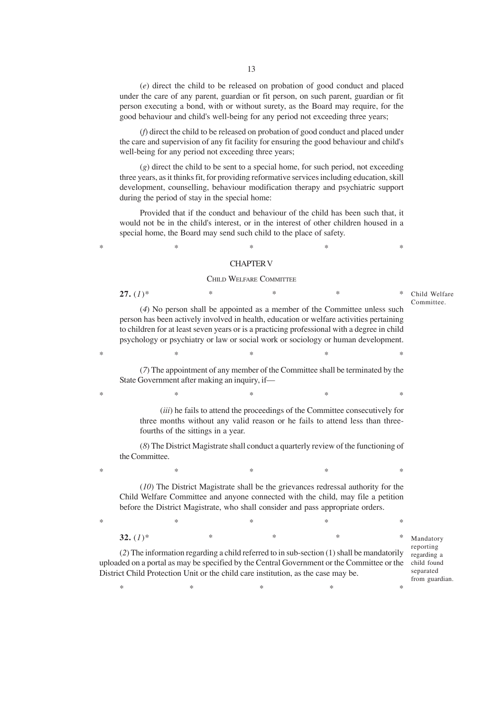(*e*) direct the child to be released on probation of good conduct and placed under the care of any parent, guardian or fit person, on such parent, guardian or fit person executing a bond, with or without surety, as the Board may require, for the good behaviour and child's well-being for any period not exceeding three years;

(*f*) direct the child to be released on probation of good conduct and placed under the care and supervision of any fit facility for ensuring the good behaviour and child's well-being for any period not exceeding three years;

(*g*) direct the child to be sent to a special home, for such period, not exceeding three years, as it thinks fit, for providing reformative services including education, skill development, counselling, behaviour modification therapy and psychiatric support during the period of stay in the special home:

Provided that if the conduct and behaviour of the child has been such that, it would not be in the child's interest, or in the interest of other children housed in a special home, the Board may send such child to the place of safety.

# $*$  \*  $*$  \*  $*$  \*  $*$  \* CHAPTER V

#### CHILD WELFARE COMMITTEE

**27.**  $(1)^*$  \* \* \* \* \*

(*4*) No person shall be appointed as a member of the Committee unless such person has been actively involved in health, education or welfare activities pertaining to children for at least seven years or is a practicing professional with a degree in child psychology or psychiatry or law or social work or sociology or human development. Committee.

(*7*) The appointment of any member of the Committee shall be terminated by the State Government after making an inquiry, if—

 $*$  \*  $*$  \*  $*$  \*  $*$  \*

 $*$  \*  $*$  \*  $*$  \*  $*$  \*

(*iii*) he fails to attend the proceedings of the Committee consecutively for three months without any valid reason or he fails to attend less than threefourths of the sittings in a year.

(*8*) The District Magistrate shall conduct a quarterly review of the functioning of the Committee.

 $*$  \*  $*$  \*  $*$  \*  $*$  \*

(*10*) The District Magistrate shall be the grievances redressal authority for the Child Welfare Committee and anyone connected with the child, may file a petition before the District Magistrate, who shall consider and pass appropriate orders.

 $*$  \*  $*$  \*  $*$  \*  $*$  \* **32.**  $(1)^*$  \* \* \* \* \*

(*2*) The information regarding a child referred to in sub-section (1) shall be mandatorily uploaded on a portal as may be specified by the Central Government or the Committee or the child found District Child Protection Unit or the child care institution, as the case may be.

 $*$  \*  $*$  \*  $*$  \*  $*$  \*

Mandatory reporting regarding a separated from guardian.

Child Welfare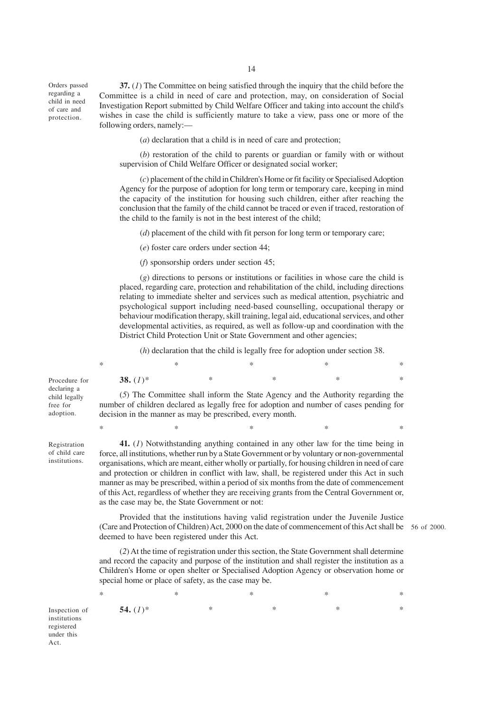Orders passed regarding a child in need of care and protection.

**37.** (*1*) The Committee on being satisfied through the inquiry that the child before the Committee is a child in need of care and protection, may, on consideration of Social Investigation Report submitted by Child Welfare Officer and taking into account the child's wishes in case the child is sufficiently mature to take a view, pass one or more of the following orders, namely:—

(*a*) declaration that a child is in need of care and protection;

(*b*) restoration of the child to parents or guardian or family with or without supervision of Child Welfare Officer or designated social worker;

(*c*) placement of the child in Children's Home or fit facility or Specialised Adoption Agency for the purpose of adoption for long term or temporary care, keeping in mind the capacity of the institution for housing such children, either after reaching the conclusion that the family of the child cannot be traced or even if traced, restoration of the child to the family is not in the best interest of the child;

(*d*) placement of the child with fit person for long term or temporary care;

(*e*) foster care orders under section 44;

(*f*) sponsorship orders under section 45;

decision in the manner as may be prescribed, every month.

(*g*) directions to persons or institutions or facilities in whose care the child is placed, regarding care, protection and rehabilitation of the child, including directions relating to immediate shelter and services such as medical attention, psychiatric and psychological support including need-based counselling, occupational therapy or behaviour modification therapy, skill training, legal aid, educational services, and other developmental activities, as required, as well as follow-up and coordination with the District Child Protection Unit or State Government and other agencies;

(*h*) declaration that the child is legally free for adoption under section 38.

(*5*) The Committee shall inform the State Agency and the Authority regarding the number of children declared as legally free for adoption and number of cases pending for

| * |             | ∗ |   | ∗ |   | ∗ |   | $\ast$ |
|---|-------------|---|---|---|---|---|---|--------|
|   | 38. $(I)^*$ |   | ∗ |   | ∗ |   | ∗ | $\ast$ |

Procedure for declaring a child legally free for adoption.

Registration of child care institutions.

**41.** (*1*) Notwithstanding anything contained in any other law for the time being in force, all institutions, whether run by a State Government or by voluntary or non-governmental organisations, which are meant, either wholly or partially, for housing children in need of care and protection or children in conflict with law, shall, be registered under this Act in such manner as may be prescribed, within a period of six months from the date of commencement of this Act, regardless of whether they are receiving grants from the Central Government or, as the case may be, the State Government or not:

 $*$  \*  $*$  \*  $*$  \*  $*$  \*

Provided that the institutions having valid registration under the Juvenile Justice (Care and Protection of Children) Act, 2000 on the date of commencement of this Act shall be 56 of 2000.deemed to have been registered under this Act.

(*2*) At the time of registration under this section, the State Government shall determine and record the capacity and purpose of the institution and shall register the institution as a Children's Home or open shelter or Specialised Adoption Agency or observation home or special home or place of safety, as the case may be.

 $*$  \*  $*$  \*  $*$  \*  $*$  \* **54.** (*1*)\* \* \* \* \*

Inspection of institutions registered under this Act.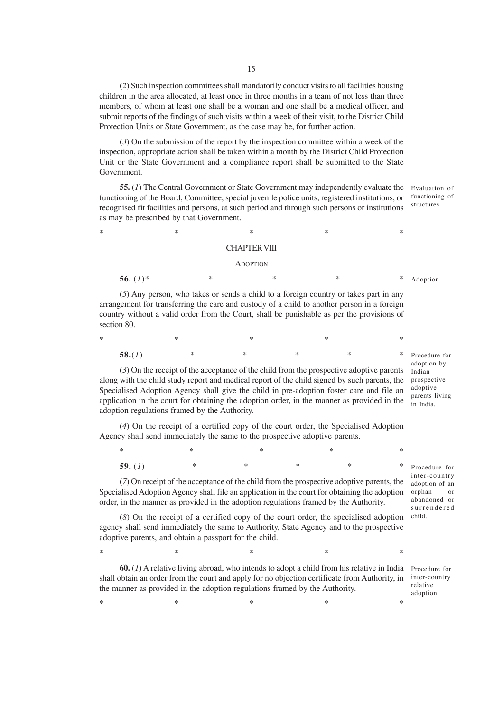(*2*) Such inspection committees shall mandatorily conduct visits to all facilities housing children in the area allocated, at least once in three months in a team of not less than three members, of whom at least one shall be a woman and one shall be a medical officer, and submit reports of the findings of such visits within a week of their visit, to the District Child Protection Units or State Government, as the case may be, for further action.

(*3*) On the submission of the report by the inspection committee within a week of the inspection, appropriate action shall be taken within a month by the District Child Protection Unit or the State Government and a compliance report shall be submitted to the State Government.

**55.** (*1*) The Central Government or State Government may independently evaluate the functioning of the Board, Committee, special juvenile police units, registered institutions, or recognised fit facilities and persons, at such period and through such persons or institutions as may be prescribed by that Government.

Evaluation of functioning of structures.

# $*$  \*  $*$  \*  $*$  \*  $*$  \* CHAPTER VIII

#### **ADOPTION**

**56.** (*1*)\* \* \* \* \* (*5*) Any person, who takes or sends a child to a foreign country or takes part in any arrangement for transferring the care and custody of a child to another person in a foreign country without a valid order from the Court, shall be punishable as per the provisions of section 80. Adoption.

| *      | $\ast$ | $\ast$        |               | ×             | $\ast$ |
|--------|--------|---------------|---------------|---------------|--------|
| 58.(1) | ∗      | $\rightarrow$ | $\rightarrow$ | $\rightarrow$ | $\ast$ |

(*3*) On the receipt of the acceptance of the child from the prospective adoptive parents along with the child study report and medical report of the child signed by such parents, the Specialised Adoption Agency shall give the child in pre-adoption foster care and file an application in the court for obtaining the adoption order, in the manner as provided in the adoption regulations framed by the Authority.

(*4*) On the receipt of a certified copy of the court order, the Specialised Adoption Agency shall send immediately the same to the prospective adoptive parents.

 $*$  \*  $*$  \*  $*$  \*  $*$  \* **59.** (*1*) \* \* \* \* \*

(*7*) On receipt of the acceptance of the child from the prospective adoptive parents, the Specialised Adoption Agency shall file an application in the court for obtaining the adoption order, in the manner as provided in the adoption regulations framed by the Authority.

(*8*) On the receipt of a certified copy of the court order, the specialised adoption agency shall send immediately the same to Authority, State Agency and to the prospective adoptive parents, and obtain a passport for the child.

 $*$  \*  $*$  \*  $*$  \*  $*$  \* **60.** (1) A relative living abroad, who intends to adopt a child from his relative in India Procedure for

shall obtain an order from the court and apply for no objection certificate from Authority, in the manner as provided in the adoption regulations framed by the Authority.

 $*$  \*  $*$  \*  $*$  \*  $*$  \*

Procedure for adoption by Indian prospective adoptive parents living in India.

Procedure for inter-country adoption of an orphan or abandoned or surrendered child.

inter-country relative adoption.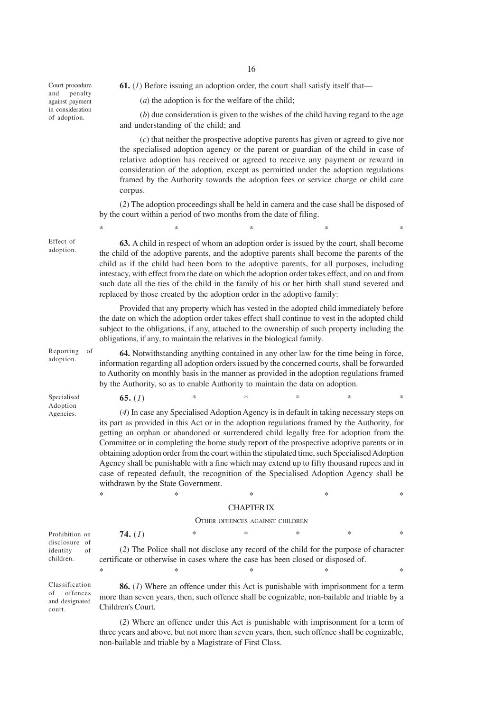Court procedure and penalty against payment in consideration of adoption.

**61.** (*1*) Before issuing an adoption order, the court shall satisfy itself that—

(*a*) the adoption is for the welfare of the child;

(*b*) due consideration is given to the wishes of the child having regard to the age and understanding of the child; and

(*c*) that neither the prospective adoptive parents has given or agreed to give nor the specialised adoption agency or the parent or guardian of the child in case of relative adoption has received or agreed to receive any payment or reward in consideration of the adoption, except as permitted under the adoption regulations framed by the Authority towards the adoption fees or service charge or child care corpus.

(*2*) The adoption proceedings shall be held in camera and the case shall be disposed of by the court within a period of two months from the date of filing.

 $*$  \*  $*$  \*  $*$  \*  $*$  \*

**63.** A child in respect of whom an adoption order is issued by the court, shall become the child of the adoptive parents, and the adoptive parents shall become the parents of the child as if the child had been born to the adoptive parents, for all purposes, including intestacy, with effect from the date on which the adoption order takes effect, and on and from such date all the ties of the child in the family of his or her birth shall stand severed and replaced by those created by the adoption order in the adoptive family:

Provided that any property which has vested in the adopted child immediately before the date on which the adoption order takes effect shall continue to vest in the adopted child subject to the obligations, if any, attached to the ownership of such property including the obligations, if any, to maintain the relatives in the biological family.

Reporting of adoption.

Effect of adoption.

> **64.** Notwithstanding anything contained in any other law for the time being in force, information regarding all adoption orders issued by the concerned courts, shall be forwarded to Authority on monthly basis in the manner as provided in the adoption regulations framed by the Authority, so as to enable Authority to maintain the data on adoption.

**65.** (*1*) \* \* \* \* \*

Specialised Adoption Agencies.

court.

(*4*) In case any Specialised Adoption Agency is in default in taking necessary steps on its part as provided in this Act or in the adoption regulations framed by the Authority, for getting an orphan or abandoned or surrendered child legally free for adoption from the Committee or in completing the home study report of the prospective adoptive parents or in obtaining adoption order from the court within the stipulated time, such Specialised Adoption Agency shall be punishable with a fine which may extend up to fifty thousand rupees and in case of repeated default, the recognition of the Specialised Adoption Agency shall be withdrawn by the State Government.

## $*$  \*  $*$  \*  $*$  \*  $*$  \* CHAPTER IX

#### OTHER OFFENCES AGAINST CHILDREN

**74.** (*1*) \* \* \* \* \* (*2*) The Police shall not disclose any record of the child for the purpose of character certificate or otherwise in cases where the case has been closed or disposed of.  $*$  \*  $*$  \*  $*$  \*  $*$  \* Prohibition on disclosure of identity of children.

**86.** (*1*) Where an offence under this Act is punishable with imprisonment for a term more than seven years, then, such offence shall be cognizable, non-bailable and triable by a Children's Court. Classification of offences and designated

> (*2*) Where an offence under this Act is punishable with imprisonment for a term of three years and above, but not more than seven years, then, such offence shall be cognizable, non-bailable and triable by a Magistrate of First Class.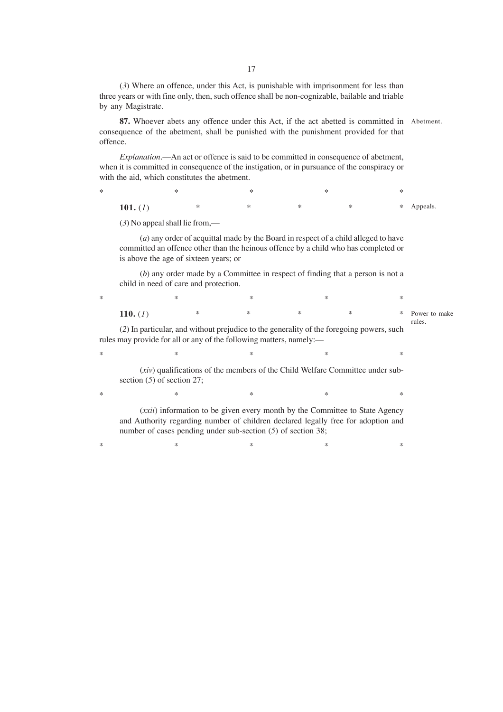(*3*) Where an offence, under this Act, is punishable with imprisonment for less than three years or with fine only, then, such offence shall be non-cognizable, bailable and triable by any Magistrate.

**87.** Whoever abets any offence under this Act, if the act abetted is committed in Abetment. consequence of the abetment, shall be punished with the punishment provided for that offence.

*Explanation*.—An act or offence is said to be committed in consequence of abetment, when it is committed in consequence of the instigation, or in pursuance of the conspiracy or with the aid, which constitutes the abetment.

| *          |   | ⋇      |        |            |
|------------|---|--------|--------|------------|
| 101. $(I)$ | ∗ | $\ast$ | $\ast$ | * Appeals. |

(*3*) No appeal shall lie from,—

(*a*) any order of acquittal made by the Board in respect of a child alleged to have committed an offence other than the heinous offence by a child who has completed or is above the age of sixteen years; or

(*b*) any order made by a Committee in respect of finding that a person is not a child in need of care and protection.

 $*$  \*  $*$  \*  $*$  \*  $*$  \* **110.** (*1*) \* \* \* \* \* Power to make rules.

(*2*) In particular, and without prejudice to the generality of the foregoing powers, such rules may provide for all or any of the following matters, namely:—

 $*$  \*  $*$  \*  $*$  \*  $*$  \*

 $*$  \*  $*$  \*  $*$  \*  $*$  \*

 $*$  \*  $*$  \*  $*$  \*  $*$  \*

(*xiv*) qualifications of the members of the Child Welfare Committee under subsection (*5*) of section 27;

(*xxii*) information to be given every month by the Committee to State Agency and Authority regarding number of children declared legally free for adoption and number of cases pending under sub-section (*5*) of section 38;